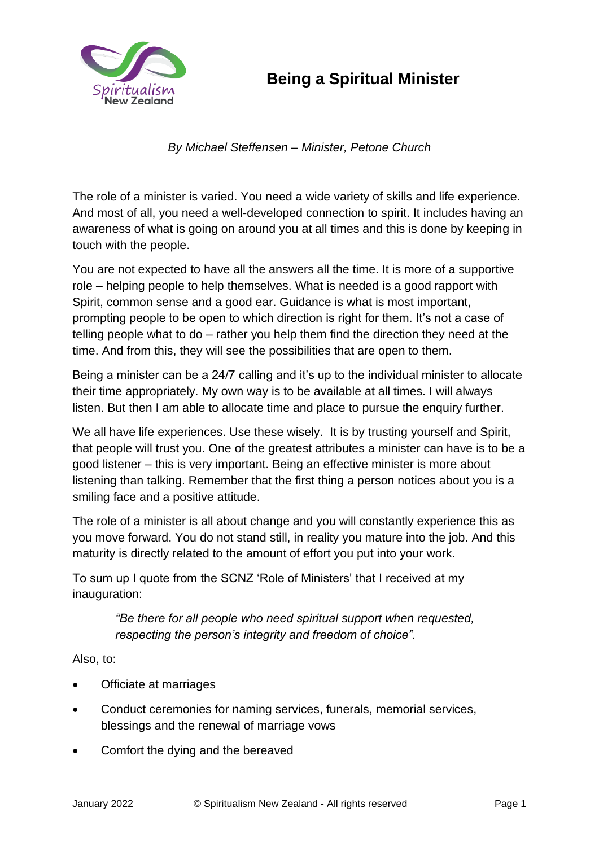



*By Michael Steffensen – Minister, Petone Church*

The role of a minister is varied. You need a wide variety of skills and life experience. And most of all, you need a well-developed connection to spirit. It includes having an awareness of what is going on around you at all times and this is done by keeping in touch with the people.

You are not expected to have all the answers all the time. It is more of a supportive role – helping people to help themselves. What is needed is a good rapport with Spirit, common sense and a good ear. Guidance is what is most important, prompting people to be open to which direction is right for them. It's not a case of telling people what to do – rather you help them find the direction they need at the time. And from this, they will see the possibilities that are open to them.

Being a minister can be a 24/7 calling and it's up to the individual minister to allocate their time appropriately. My own way is to be available at all times. I will always listen. But then I am able to allocate time and place to pursue the enquiry further.

We all have life experiences. Use these wisely. It is by trusting yourself and Spirit, that people will trust you. One of the greatest attributes a minister can have is to be a good listener – this is very important. Being an effective minister is more about listening than talking. Remember that the first thing a person notices about you is a smiling face and a positive attitude.

The role of a minister is all about change and you will constantly experience this as you move forward. You do not stand still, in reality you mature into the job. And this maturity is directly related to the amount of effort you put into your work.

To sum up I quote from the SCNZ 'Role of Ministers' that I received at my inauguration:

> *"Be there for all people who need spiritual support when requested, respecting the person's integrity and freedom of choice".*

Also, to:

- Officiate at marriages
- Conduct ceremonies for naming services, funerals, memorial services, blessings and the renewal of marriage vows
- Comfort the dying and the bereaved